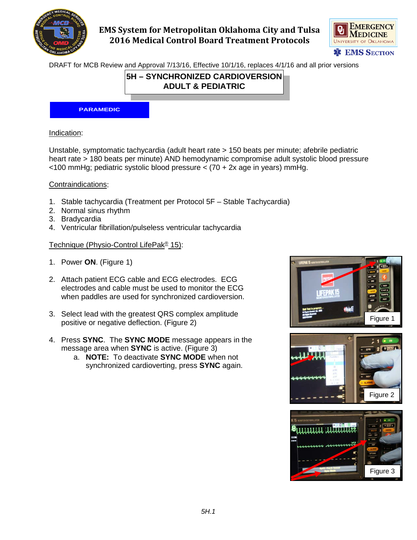

## **EMS System for Metropolitan Oklahoma City and Tulsa 2016 Medical Control Board Treatment Protocols**



DRAFT for MCB Review and Approval 7/13/16, Effective 10/1/16, replaces 4/1/16 and all prior versions

### **5H – SYNCHRONIZED CARDIOVERSION ADULT & PEDIATRIC**

#### **PARAMEDIC**

### Indication:

Unstable, symptomatic tachycardia (adult heart rate > 150 beats per minute; afebrile pediatric heart rate > 180 beats per minute) AND hemodynamic compromise adult systolic blood pressure <100 mmHg; pediatric systolic blood pressure < (70 + 2x age in years) mmHg.

#### Contraindications:

- 1. Stable tachycardia (Treatment per Protocol 5F Stable Tachycardia)
- 2. Normal sinus rhythm
- 3. Bradycardia
- 4. Ventricular fibrillation/pulseless ventricular tachycardia

### Technique (Physio-Control LifePak® 15):

- 1. Power **ON**. (Figure 1)
- 2. Attach patient ECG cable and ECG electrodes. ECG electrodes and cable must be used to monitor the ECG when paddles are used for synchronized cardioversion.
- 3. Select lead with the greatest QRS complex amplitude positive or negative deflection. (Figure 2)
- 4. Press **SYNC**. The **SYNC MODE** message appears in the message area when **SYNC** is active. (Figure 3)
	- a. **NOTE:** To deactivate **SYNC MODE** when not synchronized cardioverting, press **SYNC** again.





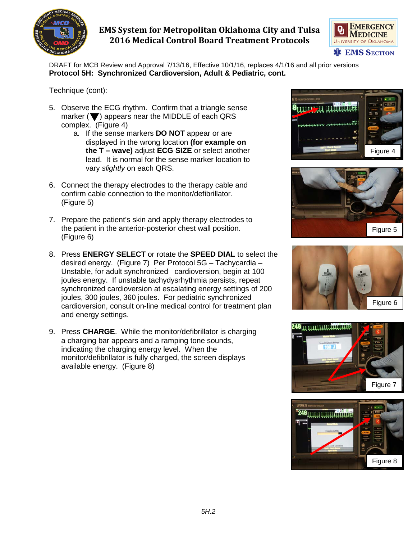

# **EMS System for Metropolitan Oklahoma City and Tulsa 2016 Medical Control Board Treatment Protocols**

**EMERGENCY** Q, **MEDICINE** UNIVERSITY OF OKLAHOMA **\* EMS SECTION** 

DRAFT for MCB Review and Approval 7/13/16, Effective 10/1/16, replaces 4/1/16 and all prior versions **Protocol 5H: Synchronized Cardioversion, Adult & Pediatric, cont.**

Technique (cont):

- 5. Observe the ECG rhythm. Confirm that a triangle sense marker ( $\blacktriangledown$ ) appears near the MIDDLE of each QRS complex. (Figure 4)
	- a. If the sense markers **DO NOT** appear or are displayed in the wrong location **(for example on the T – wave)** adjust **ECG SIZE** or select another lead. It is normal for the sense marker location to vary *slightly* on each QRS.
- 6. Connect the therapy electrodes to the therapy cable and confirm cable connection to the monitor/defibrillator. (Figure 5)
- 7. Prepare the patient's skin and apply therapy electrodes to the patient in the anterior-posterior chest wall position. (Figure 6)
- 8. Press **ENERGY SELECT** or rotate the **SPEED DIAL** to select the desired energy. (Figure 7) Per Protocol 5G – Tachycardia – Unstable, for adult synchronized cardioversion, begin at 100 joules energy. If unstable tachydysrhythmia persists, repeat synchronized cardioversion at escalating energy settings of 200 joules, 300 joules, 360 joules. For pediatric synchronized cardioversion, consult on-line medical control for treatment plan and energy settings.
- 9. Press **CHARGE**. While the monitor/defibrillator is charging a charging bar appears and a ramping tone sounds, indicating the charging energy level. When the monitor/defibrillator is fully charged, the screen displays available energy. (Figure 8)